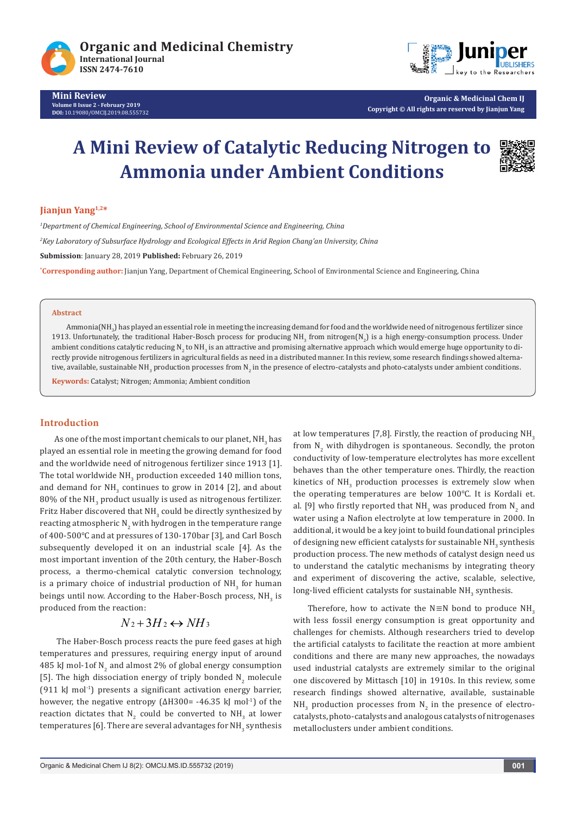



**Organic & Medicinal Chem IJ Copyright © All rights are reserved by Jianjun Yang**

# **A Mini Review of Catalytic Reducing Nitrogen to Ammonia under Ambient Conditions**



## **Jianjun Yang1,2\***

*1 Department of Chemical Engineering, School of Environmental Science and Engineering, China 2 Key Laboratory of Subsurface Hydrology and Ecological Effects in Arid Region Chang'an University, China* **Submission**: January 28, 2019 **Published:** February 26, 2019

**\* Corresponding author:** Jianjun Yang, Department of Chemical Engineering, School of Environmental Science and Engineering, China

#### **Abstract**

Ammonia(NH $_{\rm 3}$ ) has played an essential role in meeting the increasing demand for food and the worldwide need of nitrogenous fertilizer since 1913. Unfortunately, the traditional Haber-Bosch process for producing NH<sub>3</sub> from nitrogen(N<sub>2</sub>) is a high energy-consumption process. Under ambient conditions catalytic reducing N<sub>2</sub> to NH<sub>3</sub> is an attractive and promising alternative approach which would emerge huge opportunity to directly provide nitrogenous fertilizers in agricultural fields as need in a distributed manner. In this review, some research findings showed alternative, available, sustainable NH<sub>3</sub> production processes from N<sub>2</sub> in the presence of electro-catalysts and photo-catalysts under ambient conditions.

**Keywords:** Catalyst; Nitrogen; Ammonia; Ambient condition

#### **Introduction**

As one of the most important chemicals to our planet, NH $_{\rm 3}$  has played an essential role in meeting the growing demand for food and the worldwide need of nitrogenous fertilizer since 1913 [1]. The total worldwide  $\mathrm{NH}_3$  production exceeded  $140$  million tons, and demand for  $NH_3$  continues to grow in 2014 [2], and about  $80\%$  of the NH $_3$  product usually is used as nitrogenous fertilizer. Fritz Haber discovered that NH $_{\rm 3}$  could be directly synthesized by reacting atmospheric N<sub>2</sub> with hydrogen in the temperature range of 400-500℃ and at pressures of 130-170bar [3], and Carl Bosch subsequently developed it on an industrial scale [4]. As the most important invention of the 20th century, the Haber-Bosch process, a thermo-chemical catalytic conversion technology, is a primary choice of industrial production of  $NH_{\frac{3}{2}}$  for human beings until now. According to the Haber-Bosch process,  $NH<sub>3</sub>$  is produced from the reaction:

## $N_2 + 3H_2 \leftrightarrow NH_3$

 The Haber-Bosch process reacts the pure feed gases at high temperatures and pressures, requiring energy input of around 485 kJ mol-1of N<sub>2</sub> and almost 2% of global energy consumption [5]. The high dissociation energy of triply bonded  $N_2$  molecule (911 kJ mol<sup>-1</sup>) presents a significant activation energy barrier, however, the negative entropy (∆H300= -46.35 kJ mol-1) of the reaction dictates that  $N_2$  could be converted to  $NH_3$  at lower temperatures [6]. There are several advantages for  $\text{NH}_3$  synthesis at low temperatures [7,8]. Firstly, the reaction of producing  $NH<sub>3</sub>$ from  $N_2$  with dihydrogen is spontaneous. Secondly, the proton conductivity of low-temperature electrolytes has more excellent behaves than the other temperature ones. Thirdly, the reaction kinetics of  $NH_3$  production processes is extremely slow when the operating temperatures are below 100℃. It is Kordali et. al. [9] who firstly reported that NH<sub>3</sub> was produced from N<sub>2</sub> and water using a Nafion electrolyte at low temperature in 2000. In additional, it would be a key joint to build foundational principles of designing new efficient catalysts for sustainable  $\mathsf{NH}_3$  synthesis production process. The new methods of catalyst design need us to understand the catalytic mechanisms by integrating theory and experiment of discovering the active, scalable, selective, long-lived efficient catalysts for sustainable  $\mathrm{NH}_3$  synthesis.

Therefore, how to activate the N $\equiv$ N bond to produce NH<sub>3</sub> with less fossil energy consumption is great opportunity and challenges for chemists. Although researchers tried to develop the artificial catalysts to facilitate the reaction at more ambient conditions and there are many new approaches, the nowadays used industrial catalysts are extremely similar to the original one discovered by Mittasch [10] in 1910s. In this review, some research findings showed alternative, available, sustainable  $NH<sub>3</sub>$  production processes from  $N<sub>2</sub>$  in the presence of electrocatalysts, photo-catalysts and analogous catalysts of nitrogenases metalloclusters under ambient conditions.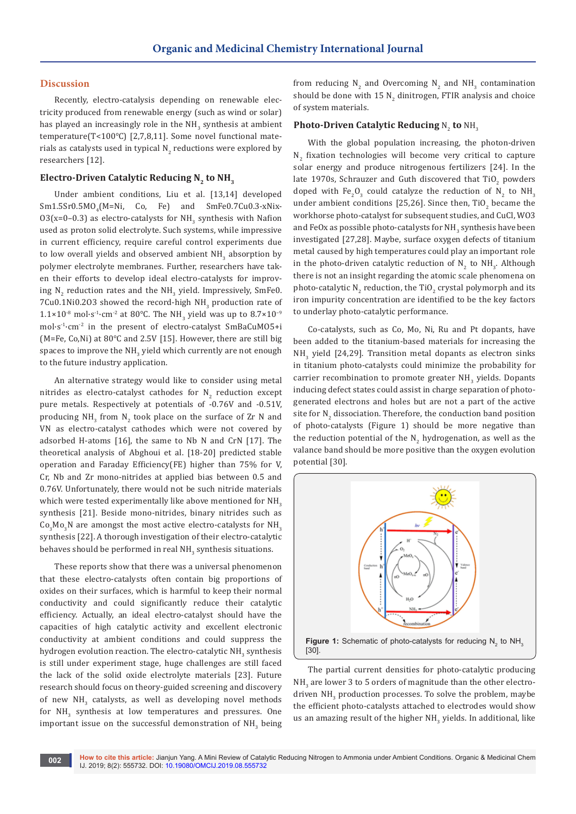#### **Discussion**

Recently, electro-catalysis depending on renewable electricity produced from renewable energy (such as wind or solar) has played an increasingly role in the NH<sub>3</sub> synthesis at ambient temperature(T<100℃) [2,7,8,11]. Some novel functional materials as catalysts used in typical N $_2$  reductions were explored by researchers [12].

#### Electro-Driven Catalytic Reducing N<sub>2</sub> to NH<sub>3</sub>

Under ambient conditions, Liu et al. [13,14] developed Sm1.5Sr0.5MO<sub>4</sub>(M=Ni, Co, Fe) and SmFe0.7Cu0.3-xNix- $03(x=0-0.3)$  as electro-catalysts for NH<sub>3</sub> synthesis with Nafion used as proton solid electrolyte. Such systems, while impressive in current efficiency, require careful control experiments due to low overall yields and observed ambient  $NH_{_3}$  absorption by polymer electrolyte membranes. Further, researchers have taken their efforts to develop ideal electro-catalysts for improving  $\text{N}_\text{2}$  reduction rates and the NH $_\text{3}$  yield. Impressively, SmFe0.  $7$ Cu0.1Ni0.2O3 showed the record-high NH $_{\rm 3}$  production rate of  $1.1\times10^{-8}$  mol·s<sup>-1</sup>·cm<sup>-2</sup> at 80°C. The NH<sub>3</sub> yield was up to 8.7×10<sup>-9</sup> mol·s-1·cm-2 in the present of electro-catalyst SmBaCuMO5+i (M=Fe, Co,Ni) at 80℃ and 2.5V [15]. However, there are still big spaces to improve the NH $_{\text{3}}$  yield which currently are not enough to the future industry application.

An alternative strategy would like to consider using metal nitrides as electro-catalyst cathodes for  $\mathsf{N}_2$  reduction except pure metals. Respectively at potentials of -0.76V and -0.51V, producing NH<sub>3</sub> from N<sub>2</sub> took place on the surface of  $Zr$  N and VN as electro-catalyst cathodes which were not covered by adsorbed H-atoms [16], the same to Nb N and CrN [17]. The theoretical analysis of Abghoui et al. [18-20] predicted stable operation and Faraday Efficiency(FE) higher than 75% for V, Cr, Nb and Zr mono-nitrides at applied bias between 0.5 and 0.76V. Unfortunately, there would not be such nitride materials which were tested experimentally like above mentioned for  $NH<sub>3</sub>$ synthesis [21]. Beside mono-nitrides, binary nitrides such as  $Co_{3}Mo_{3}N$  are amongst the most active electro-catalysts for  $NH_{3}$ synthesis [22]. A thorough investigation of their electro-catalytic behaves should be performed in real NH $_3$  synthesis situations.

These reports show that there was a universal phenomenon that these electro-catalysts often contain big proportions of oxides on their surfaces, which is harmful to keep their normal conductivity and could significantly reduce their catalytic efficiency. Actually, an ideal electro-catalyst should have the capacities of high catalytic activity and excellent electronic conductivity at ambient conditions and could suppress the hydrogen evolution reaction. The electro-catalytic  $\mathrm{NH}_3$  synthesis is still under experiment stage, huge challenges are still faced the lack of the solid oxide electrolyte materials [23]. Future research should focus on theory-guided screening and discovery of new  $NH_3$  catalysts, as well as developing novel methods for  $NH_{3}$  synthesis at low temperatures and pressures. One important issue on the successful demonstration of  $NH_{3}$  being from reducing  $N_2$  and Overcoming  $N_2$  and  $NH_3$  contamination should be done with  $15 \,$  N $_{\rm 2}$  dinitrogen, FTIR analysis and choice of system materials.

# **Photo-Driven Catalytic Reducing**  $N_2$  **to**  $NH_3$

With the global population increasing, the photon-driven  $N_2$  fixation technologies will become very critical to capture solar energy and produce nitrogenous fertilizers [24]. In the late 1970s, Schrauzer and Guth discovered that TiO<sub>2</sub> powders doped with Fe<sub>2</sub>O<sub>3</sub> could catalyze the reduction of N<sub>2</sub> to NH<sub>3</sub> under ambient conditions [25,26]. Since then,  $\text{TiO}_2$  became the workhorse photo-catalyst for subsequent studies, and CuCl, WO3 and FeOx as possible photo-catalysts for NH $_{\rm 3}$  synthesis have been investigated [27,28]. Maybe, surface oxygen defects of titanium metal caused by high temperatures could play an important role in the photo-driven catalytic reduction of  $N_2$  to  $NH_3$ . Although there is not an insight regarding the atomic scale phenomena on photo-catalytic N<sub>2</sub> reduction, the TiO<sub>2</sub> crystal polymorph and its iron impurity concentration are identified to be the key factors to underlay photo-catalytic performance.

Co-catalysts, such as Co, Mo, Ni, Ru and Pt dopants, have been added to the titanium-based materials for increasing the  $NH_{3}$  yield [24,29]. Transition metal dopants as electron sinks in titanium photo-catalysts could minimize the probability for carrier recombination to promote greater  $NH<sub>3</sub>$  yields. Dopants inducing defect states could assist in charge separation of photogenerated electrons and holes but are not a part of the active site for  $\mathsf{N}_2$  dissociation. Therefore, the conduction band position of photo-catalysts (Figure 1) should be more negative than the reduction potential of the  $\mathsf{N}_2$  hydrogenation, as well as the valance band should be more positive than the oxygen evolution potential [30].



The partial current densities for photo-catalytic producing  $NH_{3}$  are lower 3 to 5 orders of magnitude than the other electrodriven  $NH_3$  production processes. To solve the problem, maybe the efficient photo-catalysts attached to electrodes would show us an amazing result of the higher  $\texttt{NH}_3$  yields. In additional, like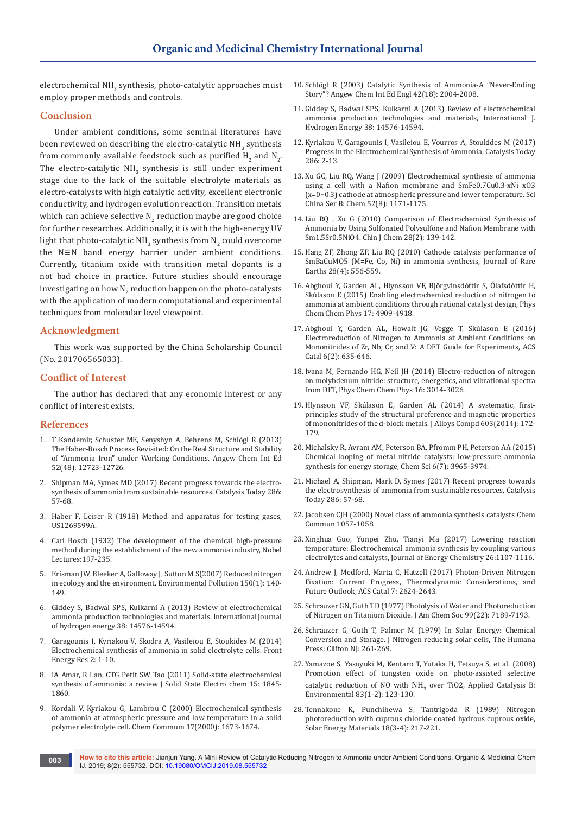electrochemical NH $_{\rm_3}$  synthesis, photo-catalytic approaches must employ proper methods and controls.

#### **Conclusion**

Under ambient conditions, some seminal literatures have been reviewed on describing the electro-catalytic NH $_3$  synthesis from commonly available feedstock such as purified  $\text{H}_{\text{2}}$  and  $\text{N}_{\text{2}}$ . The electro-catalytic  $NH<sub>3</sub>$  synthesis is still under experiment stage due to the lack of the suitable electrolyte materials as electro-catalysts with high catalytic activity, excellent electronic conductivity, and hydrogen evolution reaction. Transition metals which can achieve selective  $\mathsf{N}_2$  reduction maybe are good choice for further researches. Additionally, it is with the high-energy UV light that photo-catalytic NH $_{\text{3}}$  synthesis from N $_{\text{2}}$  could overcome the N≡N band energy barrier under ambient conditions. Currently, titanium oxide with transition metal dopants is a not bad choice in practice. Future studies should encourage investigating on how  $\mathsf{N}_2$  reduction happen on the photo-catalysts with the application of modern computational and experimental techniques from molecular level viewpoint.

#### **Acknowledgment**

This work was supported by the China Scholarship Council (No. 201706565033).

## **Conflict of Interest**

The author has declared that any economic interest or any conflict of interest exists.

#### **References**

- 1. [T Kandemir, Schuster ME, Senyshyn A, Behrens M, Schlögl R \(2013\)](https://www.ncbi.nlm.nih.gov/pubmed/24123652)  [The Haber-Bosch Process Revisited: On the Real Structure and Stability](https://www.ncbi.nlm.nih.gov/pubmed/24123652)  [of "Ammonia Iron" under Working Conditions. Angew Chem Int Ed](https://www.ncbi.nlm.nih.gov/pubmed/24123652)  [52\(48\): 12723-12726.](https://www.ncbi.nlm.nih.gov/pubmed/24123652)
- 2. [Shipman MA, Symes MD \(2017\) Recent progress towards the electro](https://www.sciencedirect.com/science/article/pii/S0920586116303303)[synthesis of ammonia from sustainable resources. Catalysis Today 286:](https://www.sciencedirect.com/science/article/pii/S0920586116303303)  [57-68.](https://www.sciencedirect.com/science/article/pii/S0920586116303303)
- 3. Haber F, Leiser R (1918) Method and apparatus for testing gases, US1269599A.
- 4. Carl Bosch (1932) The development of the chemical high-pressure method during the establishment of the new ammonia industry, Nobel Lectures:197-235.
- 5. [Erisman JW, Bleeker A, Galloway J, Sutton M S\(2007\) Reduced nitrogen](https://www.ncbi.nlm.nih.gov/pubmed/17920175)  [in ecology and the environment, Environmental Pollution 150\(1\): 140-](https://www.ncbi.nlm.nih.gov/pubmed/17920175) [149.](https://www.ncbi.nlm.nih.gov/pubmed/17920175)
- 6. Giddey S, Badwal SPS, Kulkarni A (2013) Review of electrochemical ammonia production technologies and materials. International journal of hydrogen energy 38: 14576-14594.
- 7. [Garagounis I, Kyriakou V, Skodra A, Vasileiou E, Stoukides M \(2014\)](https://www.frontiersin.org/articles/10.3389/fenrg.2014.00001/full)  [Electrochemical synthesis of ammonia in solid electrolyte cells. Front](https://www.frontiersin.org/articles/10.3389/fenrg.2014.00001/full)  [Energy Res 2: 1-10.](https://www.frontiersin.org/articles/10.3389/fenrg.2014.00001/full)
- 8. IA Amar, R Lan, CTG Petit SW Tao (2011) Solid-state electrochemical synthesis of ammonia: a review J Solid State Electro chem 15: 1845- 1860.
- 9. Kordali V, Kyriakou G, Lambrou C (2000) Electrochemical synthesis of ammonia at atmospheric pressure and low temperature in a solid polymer electrolyte cell. Chem Commum 17(2000): 1673-1674.
- 10. [Schlögl R \(2003\) Catalytic Synthesis of Ammonia-A "Never‐Ending](https://www.ncbi.nlm.nih.gov/pubmed/12746811)  [Story"? Angew Chem Int Ed Engl 42\(18\): 2004-2008.](https://www.ncbi.nlm.nih.gov/pubmed/12746811)
- 11. [Giddey S, Badwal SPS, Kulkarni A \(2013\) Review of electrochemical](https://edisciplinas.usp.br/pluginfile.php/.../1-s2.0-S0360319913022775-main.pdf?..)  [ammonia production technologies and materials, International J.](https://edisciplinas.usp.br/pluginfile.php/.../1-s2.0-S0360319913022775-main.pdf?..)  [Hydrogen Energy 38: 14576-14594.](https://edisciplinas.usp.br/pluginfile.php/.../1-s2.0-S0360319913022775-main.pdf?..)
- 12. [Kyriakou V, Garagounis I, Vasileiou E, Vourros A, Stoukides M \(2017\)](https://www.sciencedirect.com/science/article/pii/S0920586116304138)  [Progress in the Electrochemical Synthesis of Ammonia, Catalysis Today](https://www.sciencedirect.com/science/article/pii/S0920586116304138)  [286: 2-13.](https://www.sciencedirect.com/science/article/pii/S0920586116304138)
- 13. [Xu GC, Liu RQ, Wang J \(2009\) Electrochemical synthesis of ammonia](https://link.springer.com/article/10.1007/s11426-009-0135-7)  [using a cell with a Nafion membrane and SmFe0.7Cu0.3-xNi xO3](https://link.springer.com/article/10.1007/s11426-009-0135-7)  [\(x=0−0.3\) cathode at atmospheric pressure and lower temperature. Sci](https://link.springer.com/article/10.1007/s11426-009-0135-7)  [China Ser B: Chem 52\(8\): 1171-1175.](https://link.springer.com/article/10.1007/s11426-009-0135-7)
- 14. [Liu RQ , Xu G \(2010\) Comparison of Electrochemical Synthesis of](https://onlinelibrary.wiley.com/doi/abs/10.1002/cjoc.201090044)  [Ammonia by Using Sulfonated Polysulfone and Nafion Membrane with](https://onlinelibrary.wiley.com/doi/abs/10.1002/cjoc.201090044)  [Sm1.5Sr0.5NiO4. Chin J Chem 28\(2\): 139-142.](https://onlinelibrary.wiley.com/doi/abs/10.1002/cjoc.201090044)
- 15. [Hang ZF, Zhong ZP, Liu RQ \(2010\) Cathode catalysis performance of](https://www.sciencedirect.com/science/article/pii/S1002072109601538)  [SmBaCuMO5 \(M=Fe, Co, Ni\) in ammonia synthesis, Journal of Rare](https://www.sciencedirect.com/science/article/pii/S1002072109601538)  [Earths 28\(4\): 556-559.](https://www.sciencedirect.com/science/article/pii/S1002072109601538)
- 16. Abghoui Y, Garden AL, Hlynsson VF, Björgvinsdóttir S, Ólafsdóttir H, Skúlason E (2015) Enabling electrochemical reduction of nitrogen to ammonia at ambient conditions through rational catalyst design, Phys Chem Chem Phys 17: 4909-4918.
- 17. [Abghoui Y, Garden AL, Howalt JG, Vegge T, Skúlason E \(2016\)](https://pubs.acs.org/doi/abs/10.1021/acscatal.5b01918)  [Electroreduction of Nitrogen to Ammonia at Ambient Conditions on](https://pubs.acs.org/doi/abs/10.1021/acscatal.5b01918)  [Mononitrides of Zr, Nb, Cr, and V: A DFT Guide for Experiments, ACS](https://pubs.acs.org/doi/abs/10.1021/acscatal.5b01918)  [Catal 6\(2\): 635-646.](https://pubs.acs.org/doi/abs/10.1021/acscatal.5b01918)
- 18. Ivana M, Fernando HG, Neil JH (2014) Electro-reduction of nitrogen on molybdenum nitride: structure, energetics, and vibrational spectra from DFT, Phys Chem Chem Phys 16: 3014-3026.
- 19. [Hlynsson VF, Skúlason E, Garden AL \(2014\) A systematic, first](https://kundoc.com/pdf-a-systematic-first-principles-study-of-the-structural-preference-and-magnetic-pr.html)[principles study of the structural preference and magnetic properties](https://kundoc.com/pdf-a-systematic-first-principles-study-of-the-structural-preference-and-magnetic-pr.html)  [of mononitrides of the d-block metals. J Alloys Compd 603\(2014\): 172-](https://kundoc.com/pdf-a-systematic-first-principles-study-of-the-structural-preference-and-magnetic-pr.html) [179.](https://kundoc.com/pdf-a-systematic-first-principles-study-of-the-structural-preference-and-magnetic-pr.html)
- 20. [Michalsky R, Avram AM, Peterson BA, Pfromm PH, Peterson AA \(2015\)](https://www.ncbi.nlm.nih.gov/pubmed/29218166)  [Chemical looping of metal nitride catalysts: low-pressure ammonia](https://www.ncbi.nlm.nih.gov/pubmed/29218166)  [synthesis for energy storage, Chem Sci 6\(7\): 3965-3974.](https://www.ncbi.nlm.nih.gov/pubmed/29218166)
- 21. [Michael A, Shipman, Mark D, Symes \(2017\) Recent progress towards](https://www.sciencedirect.com/science/article/pii/S0920586116303303)  [the electrosynthesis of ammonia from sustainable resources, Catalysis](https://www.sciencedirect.com/science/article/pii/S0920586116303303)  [Today 286: 57-68.](https://www.sciencedirect.com/science/article/pii/S0920586116303303)
- 22. Jacobsen CJH (2000) Novel class of ammonia synthesis catalysts Chem Commun 1057-1058.
- 23. Xinghua Guo, Yunpei Zhu, Tianyi Ma (2017) Lowering reaction temperature: Electrochemical ammonia synthesis by coupling various electrolytes and catalysts, Journal of Energy Chemistry 26:1107-1116.
- 24. [Andrew J, Medford, Marta C, Hatzell \(2017\) Photon-Driven Nitrogen](https://pubs.acs.org/doi/abs/10.1021/acscatal.7b00439)  [Fixation: Current Progress, Thermodynamic Considerations, and](https://pubs.acs.org/doi/abs/10.1021/acscatal.7b00439)  [Future Outlook, ACS Catal 7: 2624-2643.](https://pubs.acs.org/doi/abs/10.1021/acscatal.7b00439)
- 25. [Schrauzer GN, Guth TD \(1977\) Photolysis of Water and Photoreduction](https://pubs.acs.org/doi/abs/10.1021/ja00464a015?journalCode=jacsat)  [of Nitrogen on Titanium Dioxide. J Am Chem Soc 99\(22\): 7189-7193.](https://pubs.acs.org/doi/abs/10.1021/ja00464a015?journalCode=jacsat)
- 26. Schrauzer G, Guth T, Palmer M (1979) In Solar Energy: Chemical Conversion and Storage. J Nitrogen reducing solar cells, The Humana Press: Clifton NJ: 261-269.
- 27. Yamazoe S, Yasuyuki M, Kentaro T, Yutaka H, Tetsuya S, et al. (2008) Promotion effect of tungsten oxide on photo-assisted selective catalytic reduction of NO with  $NH_3$  over TiO2, Applied Catalysis B: Environmental 83(1-2): 123-130.
- 28. [Tennakone K, Punchihewa S, Tantrigoda R \(1989\) Nitrogen](https://www.sciencedirect.com/science/article/pii/0165163389900555)  [photoreduction with cuprous chloride coated hydrous cuprous oxide,](https://www.sciencedirect.com/science/article/pii/0165163389900555)  [Solar Energy Materials 18\(3-4\): 217-221.](https://www.sciencedirect.com/science/article/pii/0165163389900555)